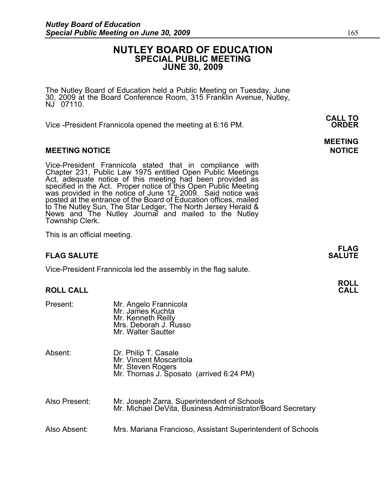# **NUTLEY BOARD OF EDUCATION SPECIAL PUBLIC MEETING JUNE 30, 2009**

The Nutley Board of Education held a Public Meeting on Tuesday, June 30, 2009 at the Board Conference Room, 315 Franklin Avenue, Nutley, NJ 07110.

 **CALL TO**  Vice -President Frannicola opened the meeting at 6:16 PM. **ORDER**

## **MEETING NOTICE NOTICE AND INCLUSION CONTROL**

Vice-President Frannicola stated that in compliance with Chapter 231, Public Law 1975 entitled Open Public Meetings Act, adequate notice of this meeting had been provided as specified in the Act. Proper notice of this Open Public Meeting was provided in the notice of June 12, 2009. Said notice was posted at the entrance of the Board of Education offices, mailed to The Nutley Sun, The Star Ledger, The North Jersey Herald & News and The Nutley Journal and mailed to the Nutley Township Clerk.

This is an official meeting.

# **FLAG SALUTE** SALUTE SALUTE SALUTE SALUTE SALUTE SALUTE SALUTE SALUTE SALUTE SALUTE SALUTE SALUTE SALUTE SALUTE SALUTE

Vice-President Frannicola led the assembly in the flag salute.

## **ROLL CALL**

| Present:      | Mr. Angelo Frannicola<br>Mr. James Kuchta<br>Mr. Kenneth Reilly<br>Mrs. Deborah J. Russo<br>Mr. Walter Sautter  |
|---------------|-----------------------------------------------------------------------------------------------------------------|
| Absent:       | Dr. Philip T. Casale<br>Mr. Vincent Moscaritola<br>Mr. Steven Rogers<br>Mr. Thomas J. Sposato (arrived 6:24 PM) |
| Also Present: | Mr. Joseph Zarra, Superintendent of Schools<br>Mr. Michael DeVita, Business Administrator/Board Secretary       |
| Also Absent:  | Mrs. Mariana Francioso, Assistant Superintendent of Schools                                                     |

**ROLL**